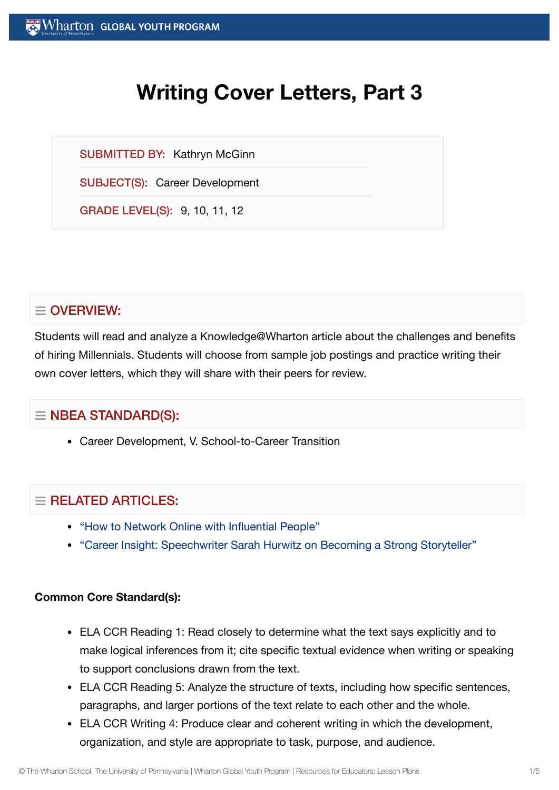# **Writing Cover Letters, Part 3**

SUBMITTED BY: Kathryn McGinn

SUBJECT(S): Career Development

GRADE LEVEL(S): 9, 10, 11, 12

# $\equiv$  OVERVIEW:

Students will read and analyze a Knowledge@Wharton article about the challenges and benefits of hiring Millennials. Students will choose from sample job postings and practice writing their own cover letters, which they will share with their peers for review.

# $\equiv$  NBEA STANDARD(S):

Career Development, V. School-to-Career Transition

# $=$  RFI ATED ARTICLES:

- "How to Network Online with [Influential](https://globalyouth.wharton.upenn.edu/articles/network-online-powerful-people/) People"
- "Career Insight: [Speechwriter](https://globalyouth.wharton.upenn.edu/articles/career-insight-white-house-speechwriter-sarah-hurwitz-becoming-strong-public-speaker-storyteller/) Sarah Hurwitz on Becoming a Strong Storyteller"

#### **Common Core Standard(s):**

- ELA CCR Reading 1: Read closely to determine what the text says explicitly and to make logical inferences from it; cite specific textual evidence when writing or speaking to support conclusions drawn from the text.
- ELA CCR Reading 5: Analyze the structure of texts, including how specific sentences, paragraphs, and larger portions of the text relate to each other and the whole.
- ELA CCR Writing 4: Produce clear and coherent writing in which the development, organization, and style are appropriate to task, purpose, and audience.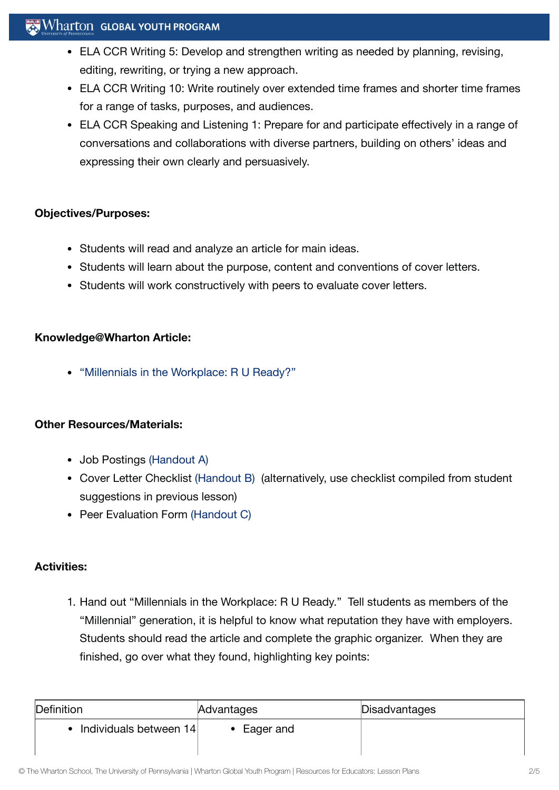### $\mathbf{W}$  Wharton Global youth program

- ELA CCR Writing 5: Develop and strengthen writing as needed by planning, revising, editing, rewriting, or trying a new approach.
- ELA CCR Writing 10: Write routinely over extended time frames and shorter time frames for a range of tasks, purposes, and audiences.
- ELA CCR Speaking and Listening 1: Prepare for and participate effectively in a range of conversations and collaborations with diverse partners, building on others' ideas and expressing their own clearly and persuasively.

#### **Objectives/Purposes:**

- Students will read and analyze an article for main ideas.
- Students will learn about the purpose, content and conventions of cover letters.
- Students will work constructively with peers to evaluate cover letters.

#### **Knowledge@Wharton Article:**

["Millennials in](http://knowledge.wharton.upenn.edu/10000women/article.cfm?articleid=6071) the Workplace: R U Ready?"

#### **Other Resources/Materials:**

- Job Postings [\(Handout](https://globalyouth.wharton.upenn.edu/wp-content/uploads/2012/02/Career-Development-6_handoutA.pdf) A)
- Cover Letter Checklist [\(Handout](https://globalyouth.wharton.upenn.edu/wp-content/uploads/2012/02/Career-Development-6_HandoutB.pdf) B) (alternatively, use checklist compiled from student suggestions in previous lesson)
- Peer Evaluation Form [\(Handout](https://globalyouth.wharton.upenn.edu/wp-content/uploads/2012/02/Career-Development-6_HandoutC.pdf) C)

#### **Activities:**

1. Hand out "Millennials in the Workplace: R U Ready." Tell students as members of the "Millennial" generation, it is helpful to know what reputation they have with employers. Students should read the article and complete the graphic organizer. When they are finished, go over what they found, highlighting key points:

| Definition               | Advantages | Disadvantages |
|--------------------------|------------|---------------|
| • Individuals between 14 | Eager and  |               |
|                          |            |               |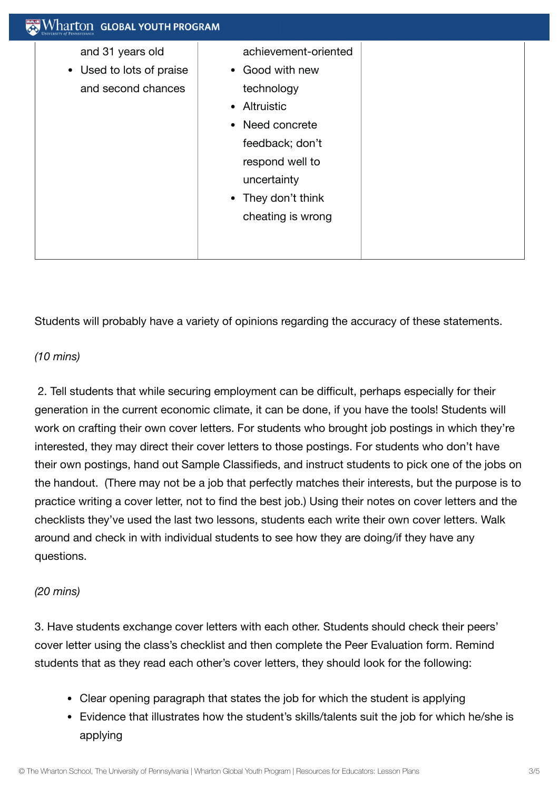| Vharton Global youth program                                       |
|--------------------------------------------------------------------|
| and 31 years old<br>• Used to lots of praise<br>and second chances |

Students will probably have a variety of opinions regarding the accuracy of these statements.

#### *(10 mins)*

2. Tell students that while securing employment can be difficult, perhaps especially for their generation in the current economic climate, it can be done, if you have the tools! Students will work on crafting their own cover letters. For students who brought job postings in which they're interested, they may direct their cover letters to those postings. For students who don't have their own postings, hand out Sample Classifieds, and instruct students to pick one of the jobs on the handout. (There may not be a job that perfectly matches their interests, but the purpose is to practice writing a cover letter, not to find the best job.) Using their notes on cover letters and the checklists they've used the last two lessons, students each write their own cover letters. Walk around and check in with individual students to see how they are doing/if they have any questions.

#### *(20 mins)*

3. Have students exchange cover letters with each other. Students should check their peers' cover letter using the class's checklist and then complete the Peer Evaluation form. Remind students that as they read each other's cover letters, they should look for the following:

- Clear opening paragraph that states the job for which the student is applying
- Evidence that illustrates how the student's skills/talents suit the job for which he/she is applying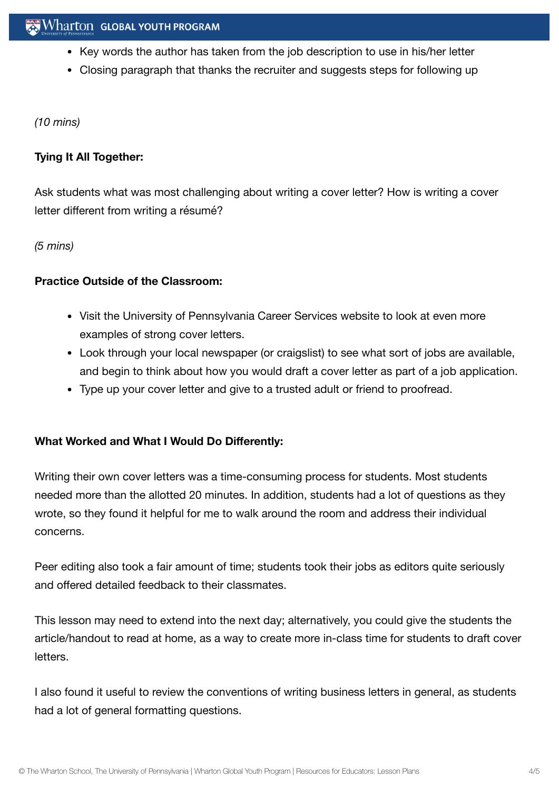- Key words the author has taken from the job description to use in his/her letter
- Closing paragraph that thanks the recruiter and suggests steps for following up

*(10 mins)*

#### **Tying It All Together:**

Ask students what was most challenging about writing a cover letter? How is writing a cover letter different from writing a résumé?

*(5 mins)*

#### **Practice Outside of the Classroom:**

- Visit the University of Pennsylvania Career Services website to look at even more examples of strong cover letters.
- Look through your local newspaper (or craigslist) to see what sort of jobs are available, and begin to think about how you would draft a cover letter as part of a job application.
- Type up your cover letter and give to a trusted adult or friend to proofread.

### **What Worked and What I Would Do Differently:**

Writing their own cover letters was a time-consuming process for students. Most students needed more than the allotted 20 minutes. In addition, students had a lot of questions as they wrote, so they found it helpful for me to walk around the room and address their individual concerns.

Peer editing also took a fair amount of time; students took their jobs as editors quite seriously and offered detailed feedback to their classmates.

This lesson may need to extend into the next day; alternatively, you could give the students the article/handout to read at home, as a way to create more in-class time for students to draft cover letters.

I also found it useful to review the conventions of writing business letters in general, as students had a lot of general formatting questions.